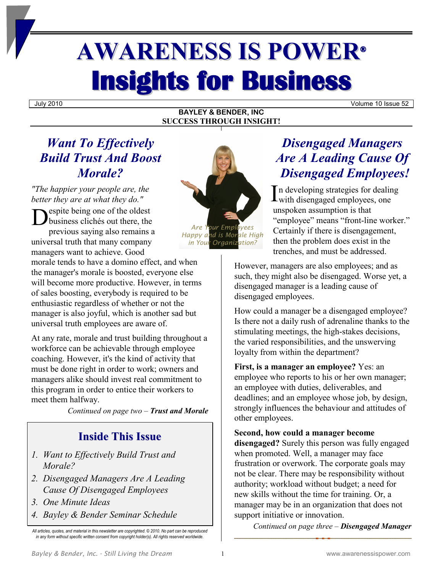# **AWARENESS IS POWER® Insights for Business**

July 2010 Volume 10 Issue 52

#### **BAYLEY & BENDER, INC SUCCESS THROUGH INSIGHT!**

## *Want To Effectively Build Trust And Boost Morale?*

*"The happier your people are, the better they are at what they do."*

**Example 8**<br>
business clichés out there, the<br> **Are Your Employees** business clichés out there, the previous saying also remains a universal truth that many company managers want to achieve. Good

morale tends to have a domino effect, and when the manager's morale is boosted, everyone else will become more productive. However, in terms of sales boosting, everybody is required to be enthusiastic regardless of whether or not the manager is also joyful, which is another sad but universal truth employees are aware of.

At any rate, morale and trust building throughout a workforce can be achievable through employee coaching. However, it's the kind of activity that must be done right in order to work; owners and managers alike should invest real commitment to this program in order to entice their workers to meet them halfway.

*Continued on page two – Trust and Morale*

### **Inside This Issue**

- *1. Want to Effectively Build Trust and Morale?*
- *2. Disengaged Managers Are A Leading Cause Of Disengaged Employees*
- *3. One Minute Ideas*
- *4. Bayley & Bender Seminar Schedule*



## *Disengaged Managers Are A Leading Cause Of Disengaged Employees!*

n developing strategies for dealing In developing strategies for dealing<br>with disengaged employees, one unspoken assumption is that "employee" means "front-line worker." Certainly if there is disengagement, then the problem does exist in the trenches, and must be addressed.

However, managers are also employees; and as such, they might also be disengaged. Worse yet, a disengaged manager is a leading cause of disengaged employees.

How could a manager be a disengaged employee? Is there not a daily rush of adrenaline thanks to the stimulating meetings, the high-stakes decisions, the varied responsibilities, and the unswerving loyalty from within the department?

**First, is a manager an employee?** Yes: an employee who reports to his or her own manager; an employee with duties, deliverables, and deadlines; and an employee whose job, by design, strongly influences the behaviour and attitudes of other employees.

**Second, how could a manager become** 

**disengaged?** Surely this person was fully engaged when promoted. Well, a manager may face frustration or overwork. The corporate goals may not be clear. There may be responsibility without authority; workload without budget; a need for new skills without the time for training. Or, a manager may be in an organization that does not support initiative or innovation.

*Continued on page three – Disengaged Manager*

*All articles, quotes, and material in this newsletter are copyrighted. © 2010. No part can be reproduced in any form without specific written consent from copyright holder(s). All rights reserved worldwide.*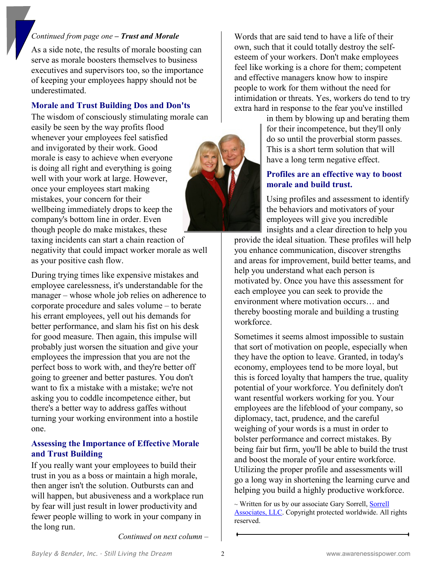#### *Continued from page one – Trust and Morale*

As a side note, the results of morale boosting can serve as morale boosters themselves to business executives and supervisors too, so the importance of keeping your employees happy should not be underestimated.

#### **Morale and Trust Building Dos and Don'ts**

The wisdom of consciously stimulating morale can

easily be seen by the way profits flood whenever your employees feel satisfied and invigorated by their work. Good morale is easy to achieve when everyone is doing all right and everything is going well with your work at large. However, once your employees start making mistakes, your concern for their wellbeing immediately drops to keep the company's bottom line in order. Even though people do make mistakes, these

taxing incidents can start a chain reaction of negativity that could impact worker morale as well as your positive cash flow.

During trying times like expensive mistakes and employee carelessness, it's understandable for the manager – whose whole job relies on adherence to corporate procedure and sales volume ‒ to berate his errant employees, yell out his demands for better performance, and slam his fist on his desk for good measure. Then again, this impulse will probably just worsen the situation and give your employees the impression that you are not the perfect boss to work with, and they're better off going to greener and better pastures. You don't want to fix a mistake with a mistake; we're not asking you to coddle incompetence either, but there's a better way to address gaffes without turning your working environment into a hostile one.

#### **Assessing the Importance of Effective Morale and Trust Building**

If you really want your employees to build their trust in you as a boss or maintain a high morale, then anger isn't the solution. Outbursts can and will happen, but abusiveness and a workplace run by fear will just result in lower productivity and fewer people willing to work in your company in the long run.

Words that are said tend to have a life of their own, such that it could totally destroy the selfesteem of your workers. Don't make employees feel like working is a chore for them; competent and effective managers know how to inspire people to work for them without the need for intimidation or threats. Yes, workers do tend to try extra hard in response to the fear you've instilled

> in them by blowing up and berating them for their incompetence, but they'll only do so until the proverbial storm passes. This is a short term solution that will have a long term negative effect.

#### **Profiles are an effective way to boost morale and build trust.**

Using profiles and assessment to identify the behaviors and motivators of your employees will give you incredible insights and a clear direction to help you

provide the ideal situation. These profiles will help you enhance communication, discover strengths and areas for improvement, build better teams, and help you understand what each person is motivated by. Once you have this assessment for each employee you can seek to provide the environment where motivation occurs… and thereby boosting morale and building a trusting workforce.

Sometimes it seems almost impossible to sustain that sort of motivation on people, especially when they have the option to leave. Granted, in today's economy, employees tend to be more loyal, but this is forced loyalty that hampers the true, quality potential of your workforce. You definitely don't want resentful workers working for you. Your employees are the lifeblood of your company, so diplomacy, tact, prudence, and the careful weighing of your words is a must in order to bolster performance and correct mistakes. By being fair but firm, you'll be able to build the trust and boost the morale of your entire workforce. Utilizing the proper profile and assessments will go a long way in shortening the learning curve and helping you build a highly productive workforce.

~ Written for us by our associate Gary Sorrell, Sorrell [Associates, LLC.](http://newsletterville.com/) Copyright protected worldwide. All rights reserved.

*Continued on next column ‒*



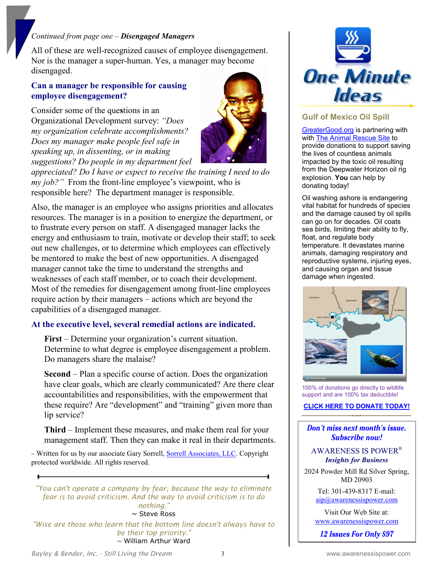#### *Continued from page one – Disengaged Managers*

All of these are well-recognized causes of employee disengagement. Nor is the manager a super-human. Yes, a manager may become disengaged.

#### **Can a manager be responsible for causing employee disengagement?**

Consider some of the que**s**tions in an Organizational Development survey: *"Does my organization celebrate accomplishments? Does my manager make people feel safe in speaking up, in dissenting, or in making suggestions? Do people in my department feel* 



*appreciated? Do I have or expect to receive the training I need to do my job?*" From the front-line employee's viewpoint, who is responsible here? The department manager is responsible.

Also, the manager is an employee who assigns priorities and allocates resources. The manager is in a position to energize the department, or to frustrate every person on staff. A disengaged manager lacks the energy and enthusiasm to train, motivate or develop their staff; to seek out new challenges, or to determine which employees can effectively be mentored to make the best of new opportunities. A disengaged manager cannot take the time to understand the strengths and weaknesses of each staff member, or to coach their development. Most of the remedies for disengagement among front-line employees require action by their managers – actions which are beyond the capabilities of a disengaged manager.

#### **At the executive level, several remedial actions are indicated.**

**First** – Determine your organization's current situation. Determine to what degree is employee disengagement a problem. Do managers share the malaise?

**Second** – Plan a specific course of action. Does the organization have clear goals, which are clearly communicated? Are there clear accountabilities and responsibilities, with the empowerment that these require? Are "development" and "training" given more than lip service?

**Third** – Implement these measures, and make them real for your management staff. Then they can make it real in their departments.

~ Written for us by our associate Gary Sorrell, [Sorrell Associates, LLC.](http://newsletterville.com/) Copyright protected worldwide. All rights reserved.

*"You can't operate a company by fear, because the way to eliminate fear is to avoid criticism. And the way to avoid criticism is to do nothing."*  $\sim$  Steve Ross

*"Wise are those who learn that the bottom line doesn't always have to be their top priority."*  $\sim$  William Arthur Ward



#### **Gulf of Mexico Oil Spill**

[GreaterGood.org](http://www.greatergood.org/) is partnering with with [The Animal Rescue Site](https://shop.thehungersite.com/store/item.do?itemId=42416&siteId=220&origin=GGO_ADGROUP_FEATURED_GulfOilSpill_42416) to provide donations to support saving the lives of countless animals impacted by the toxic oil resulting from the Deepwater Horizon oil rig explosion. **You** can help by donating today!

Oil washing ashore is endangering vital habitat for hundreds of species and the damage caused by oil spills can go on for decades. Oil coats sea birds, limiting their ability to fly, float, and regulate body temperature. It devastates marine animals, damaging respiratory and reproductive systems, injuring eyes, and causing organ and tissue damage when ingested.



100% of donations go directly to wildlife support and are 100% tax deductible!

#### **[CLICK HERE TO DONATE TODAY!](https://shop.thehungersite.com/store/item.do?itemId=42416&siteId=220&origin=GGO_ADGROUP_FEATURED_GulfOilSpill_42416)**

#### Don't miss next month's issue. Subscribe now!

#### AWARENESS IS POWER® *Insights for Business*

2024 Powder Mill Rd Silver Spring, MD 20903

> Tel: 301-439-8317 E-mail: [aip@awarenessispower.com](mailto:aip@awarenessispower.com)

Visit Our Web Site at: [www.awarenessispower.com](http://www.awarenessispower.com/)

12 Issues For Only \$97